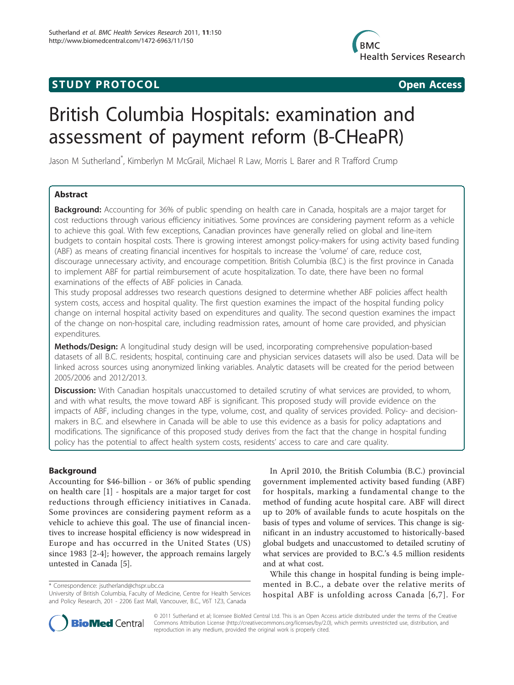# **STUDY PROTOCOL CONSUMING ACCESS**



# British Columbia Hospitals: examination and assessment of payment reform (B-CHeaPR)

Jason M Sutherland<sup>\*</sup>, Kimberlyn M McGrail, Michael R Law, Morris L Barer and R Trafford Crump

# Abstract

**Background:** Accounting for 36% of public spending on health care in Canada, hospitals are a major target for cost reductions through various efficiency initiatives. Some provinces are considering payment reform as a vehicle to achieve this goal. With few exceptions, Canadian provinces have generally relied on global and line-item budgets to contain hospital costs. There is growing interest amongst policy-makers for using activity based funding (ABF) as means of creating financial incentives for hospitals to increase the 'volume' of care, reduce cost, discourage unnecessary activity, and encourage competition. British Columbia (B.C.) is the first province in Canada to implement ABF for partial reimbursement of acute hospitalization. To date, there have been no formal examinations of the effects of ABF policies in Canada.

This study proposal addresses two research questions designed to determine whether ABF policies affect health system costs, access and hospital quality. The first question examines the impact of the hospital funding policy change on internal hospital activity based on expenditures and quality. The second question examines the impact of the change on non-hospital care, including readmission rates, amount of home care provided, and physician expenditures.

Methods/Design: A longitudinal study design will be used, incorporating comprehensive population-based datasets of all B.C. residents; hospital, continuing care and physician services datasets will also be used. Data will be linked across sources using anonymized linking variables. Analytic datasets will be created for the period between 2005/2006 and 2012/2013.

**Discussion:** With Canadian hospitals unaccustomed to detailed scrutiny of what services are provided, to whom, and with what results, the move toward ABF is significant. This proposed study will provide evidence on the impacts of ABF, including changes in the type, volume, cost, and quality of services provided. Policy- and decisionmakers in B.C. and elsewhere in Canada will be able to use this evidence as a basis for policy adaptations and modifications. The significance of this proposed study derives from the fact that the change in hospital funding policy has the potential to affect health system costs, residents' access to care and care quality.

# Background

Accounting for \$46-billion - or 36% of public spending on health care [[1\]](#page-6-0) - hospitals are a major target for cost reductions through efficiency initiatives in Canada. Some provinces are considering payment reform as a vehicle to achieve this goal. The use of financial incentives to increase hospital efficiency is now widespread in Europe and has occurred in the United States (US) since 1983 [\[2](#page-6-0)-[4\]](#page-6-0); however, the approach remains largely untested in Canada [[5](#page-6-0)].

In April 2010, the British Columbia (B.C.) provincial government implemented activity based funding (ABF) for hospitals, marking a fundamental change to the method of funding acute hospital care. ABF will direct up to 20% of available funds to acute hospitals on the basis of types and volume of services. This change is significant in an industry accustomed to historically-based global budgets and unaccustomed to detailed scrutiny of what services are provided to B.C.'s 4.5 million residents and at what cost.

While this change in hospital funding is being implemented in B.C., a debate over the relative merits of hospital ABF is unfolding across Canada [[6](#page-6-0),[7](#page-6-0)]. For



© 2011 Sutherland et al; licensee BioMed Central Ltd. This is an Open Access article distributed under the terms of the Creative Commons Attribution License [\(http://creativecommons.org/licenses/by/2.0](http://creativecommons.org/licenses/by/2.0)), which permits unrestricted use, distribution, and reproduction in any medium, provided the original work is properly cited.

<sup>\*</sup> Correspondence: [jsutherland@chspr.ubc.ca](mailto:jsutherland@chspr.ubc.ca)

University of British Columbia, Faculty of Medicine, Centre for Health Services and Policy Research, 201 - 2206 East Mall, Vancouver, B.C., V6T 1Z3, Canada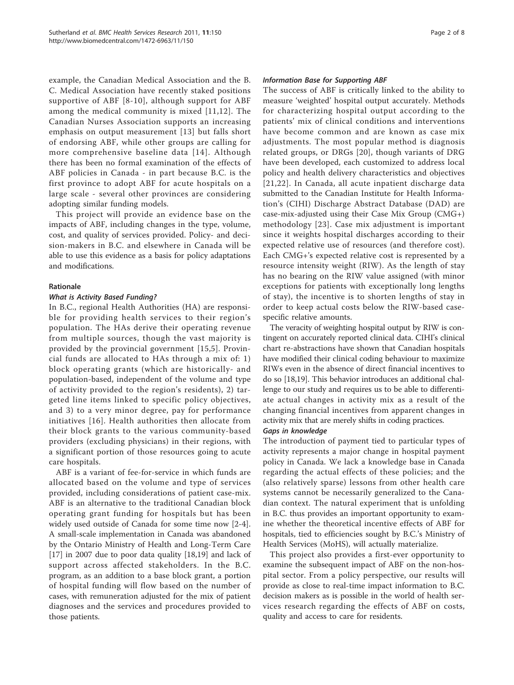example, the Canadian Medical Association and the B. C. Medical Association have recently staked positions supportive of ABF [[8-10](#page-6-0)], although support for ABF among the medical community is mixed [[11](#page-6-0),[12](#page-6-0)]. The Canadian Nurses Association supports an increasing emphasis on output measurement [[13](#page-6-0)] but falls short of endorsing ABF, while other groups are calling for more comprehensive baseline data [[14](#page-6-0)]. Although there has been no formal examination of the effects of ABF policies in Canada - in part because B.C. is the first province to adopt ABF for acute hospitals on a large scale - several other provinces are considering adopting similar funding models.

This project will provide an evidence base on the impacts of ABF, including changes in the type, volume, cost, and quality of services provided. Policy- and decision-makers in B.C. and elsewhere in Canada will be able to use this evidence as a basis for policy adaptations and modifications.

# Rationale

## What is Activity Based Funding?

In B.C., regional Health Authorities (HA) are responsible for providing health services to their region's population. The HAs derive their operating revenue from multiple sources, though the vast majority is provided by the provincial government [[15](#page-6-0),[5\]](#page-6-0). Provincial funds are allocated to HAs through a mix of: 1) block operating grants (which are historically- and population-based, independent of the volume and type of activity provided to the region's residents), 2) targeted line items linked to specific policy objectives, and 3) to a very minor degree, pay for performance initiatives [[16\]](#page-6-0). Health authorities then allocate from their block grants to the various community-based providers (excluding physicians) in their regions, with a significant portion of those resources going to acute care hospitals.

ABF is a variant of fee-for-service in which funds are allocated based on the volume and type of services provided, including considerations of patient case-mix. ABF is an alternative to the traditional Canadian block operating grant funding for hospitals but has been widely used outside of Canada for some time now [[2-4](#page-6-0)]. A small-scale implementation in Canada was abandoned by the Ontario Ministry of Health and Long-Term Care [[17\]](#page-6-0) in 2007 due to poor data quality [[18](#page-6-0),[19](#page-6-0)] and lack of support across affected stakeholders. In the B.C. program, as an addition to a base block grant, a portion of hospital funding will flow based on the number of cases, with remuneration adjusted for the mix of patient diagnoses and the services and procedures provided to those patients.

### Information Base for Supporting ABF

The success of ABF is critically linked to the ability to measure 'weighted' hospital output accurately. Methods for characterizing hospital output according to the patients' mix of clinical conditions and interventions have become common and are known as case mix adjustments. The most popular method is diagnosis related groups, or DRGs [\[20\]](#page-6-0), though variants of DRG have been developed, each customized to address local policy and health delivery characteristics and objectives [[21,22](#page-6-0)]. In Canada, all acute inpatient discharge data submitted to the Canadian Institute for Health Information's (CIHI) Discharge Abstract Database (DAD) are case-mix-adjusted using their Case Mix Group (CMG+) methodology [\[23\]](#page-6-0). Case mix adjustment is important since it weights hospital discharges according to their expected relative use of resources (and therefore cost). Each CMG+'s expected relative cost is represented by a resource intensity weight (RIW). As the length of stay has no bearing on the RIW value assigned (with minor exceptions for patients with exceptionally long lengths of stay), the incentive is to shorten lengths of stay in order to keep actual costs below the RIW-based casespecific relative amounts.

The veracity of weighting hospital output by RIW is contingent on accurately reported clinical data. CIHI's clinical chart re-abstractions have shown that Canadian hospitals have modified their clinical coding behaviour to maximize RIWs even in the absence of direct financial incentives to do so [\[18,19](#page-6-0)]. This behavior introduces an additional challenge to our study and requires us to be able to differentiate actual changes in activity mix as a result of the changing financial incentives from apparent changes in activity mix that are merely shifts in coding practices.

## Gaps in knowledge

The introduction of payment tied to particular types of activity represents a major change in hospital payment policy in Canada. We lack a knowledge base in Canada regarding the actual effects of these policies; and the (also relatively sparse) lessons from other health care systems cannot be necessarily generalized to the Canadian context. The natural experiment that is unfolding in B.C. thus provides an important opportunity to examine whether the theoretical incentive effects of ABF for hospitals, tied to efficiencies sought by B.C.'s Ministry of Health Services (MoHS), will actually materialize.

This project also provides a first-ever opportunity to examine the subsequent impact of ABF on the non-hospital sector. From a policy perspective, our results will provide as close to real-time impact information to B.C. decision makers as is possible in the world of health services research regarding the effects of ABF on costs, quality and access to care for residents.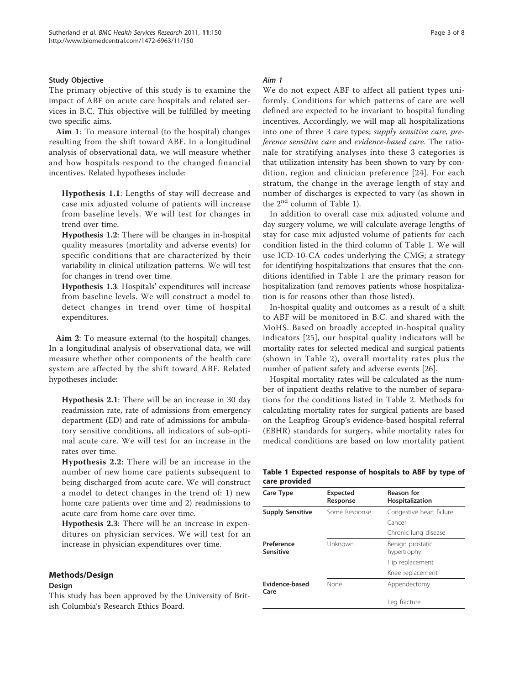# <span id="page-2-0"></span>Study Objective

The primary objective of this study is to examine the impact of ABF on acute care hospitals and related services in B.C. This objective will be fulfilled by meeting two specific aims.

Aim 1: To measure internal (to the hospital) changes resulting from the shift toward ABF. In a longitudinal analysis of observational data, we will measure whether and how hospitals respond to the changed financial incentives. Related hypotheses include:

Hypothesis 1.1: Lengths of stay will decrease and case mix adjusted volume of patients will increase from baseline levels. We will test for changes in trend over time.

Hypothesis 1.2: There will be changes in in-hospital quality measures (mortality and adverse events) for specific conditions that are characterized by their variability in clinical utilization patterns. We will test for changes in trend over time.

Hypothesis 1.3: Hospitals' expenditures will increase from baseline levels. We will construct a model to detect changes in trend over time of hospital expenditures.

Aim 2: To measure external (to the hospital) changes. In a longitudinal analysis of observational data, we will measure whether other components of the health care system are affected by the shift toward ABF. Related hypotheses include:

Hypothesis 2.1: There will be an increase in 30 day readmission rate, rate of admissions from emergency department (ED) and rate of admissions for ambulatory sensitive conditions, all indicators of sub-optimal acute care. We will test for an increase in the rates over time.

Hypothesis 2.2: There will be an increase in the number of new home care patients subsequent to being discharged from acute care. We will construct a model to detect changes in the trend of: 1) new home care patients over time and 2) readmissions to acute care from home care over time.

Hypothesis 2.3: There will be an increase in expenditures on physician services. We will test for an increase in physician expenditures over time.

## Methods/Design

#### Design

This study has been approved by the University of British Columbia's Research Ethics Board.

#### Aim 1

We do not expect ABF to affect all patient types uniformly. Conditions for which patterns of care are well defined are expected to be invariant to hospital funding incentives. Accordingly, we will map all hospitalizations into one of three 3 care types; supply sensitive care, preference sensitive care and evidence-based care. The rationale for stratifying analyses into these 3 categories is that utilization intensity has been shown to vary by condition, region and clinician preference [[24](#page-6-0)]. For each stratum, the change in the average length of stay and number of discharges is expected to vary (as shown in the  $2<sup>nd</sup>$  column of Table 1).

In addition to overall case mix adjusted volume and day surgery volume, we will calculate average lengths of stay for case mix adjusted volume of patients for each condition listed in the third column of Table 1. We will use ICD-10-CA codes underlying the CMG; a strategy for identifying hospitalizations that ensures that the conditions identified in Table 1 are the primary reason for hospitalization (and removes patients whose hospitalization is for reasons other than those listed).

In-hospital quality and outcomes as a result of a shift to ABF will be monitored in B.C. and shared with the MoHS. Based on broadly accepted in-hospital quality indicators [[25\]](#page-6-0), our hospital quality indicators will be mortality rates for selected medical and surgical patients (shown in Table [2\)](#page-3-0), overall mortality rates plus the number of patient safety and adverse events [\[26\]](#page-6-0).

Hospital mortality rates will be calculated as the number of inpatient deaths relative to the number of separations for the conditions listed in Table [2.](#page-3-0) Methods for calculating mortality rates for surgical patients are based on the Leapfrog Group's evidence-based hospital referral (EBHR) standards for surgery, while mortality rates for medical conditions are based on low mortality patient

|               | Table 1 Expected response of hospitals to ABF by type of |  |  |  |
|---------------|----------------------------------------------------------|--|--|--|
| care provided |                                                          |  |  |  |

| Care Type                      | <b>Expected</b><br>Response | <b>Reason for</b><br>Hospitalization |  |
|--------------------------------|-----------------------------|--------------------------------------|--|
| <b>Supply Sensitive</b>        | Some Response               | Congestive heart failure             |  |
|                                |                             | Cancer                               |  |
|                                |                             | Chronic lung disease                 |  |
| Preference<br><b>Sensitive</b> | Unknown                     | Benign prostatic<br>hypertrophy      |  |
|                                |                             | Hip replacement                      |  |
|                                |                             | Knee replacement                     |  |
| Evidence-based<br>Care         | None                        | Appendectomy                         |  |
|                                |                             | Leg fracture                         |  |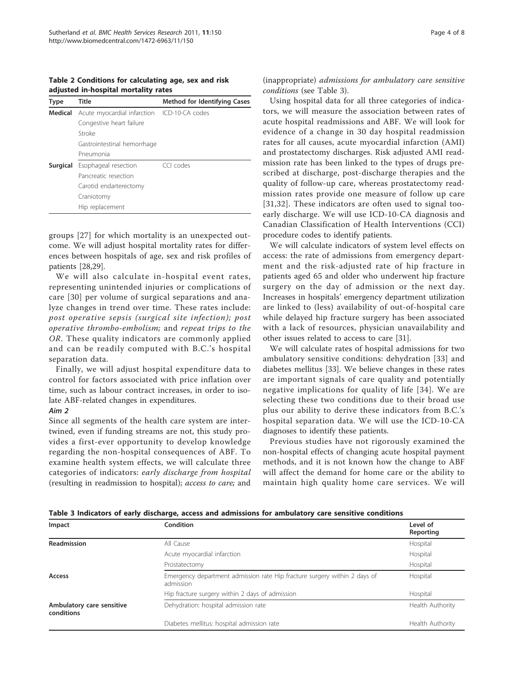<span id="page-3-0"></span>Table 2 Conditions for calculating age, sex and risk adjusted in-hospital mortality rates

| <b>Type</b> | <b>Title</b>                | <b>Method for Identifying Cases</b> |
|-------------|-----------------------------|-------------------------------------|
| Medical     | Acute myocardial infarction | ICD-10-CA codes                     |
|             | Congestive heart failure    |                                     |
|             | Stroke                      |                                     |
|             | Gastrointestinal hemorrhage |                                     |
|             | Pneumonia                   |                                     |
| Surgical    | Esophageal resection        | CCL codes                           |
|             | Pancreatic resection        |                                     |
|             | Carotid endarterectomy      |                                     |
|             | Craniotomy                  |                                     |
|             | Hip replacement             |                                     |

groups [[27\]](#page-7-0) for which mortality is an unexpected outcome. We will adjust hospital mortality rates for differences between hospitals of age, sex and risk profiles of patients [\[28,29\]](#page-7-0).

We will also calculate in-hospital event rates, representing unintended injuries or complications of care [[30\]](#page-7-0) per volume of surgical separations and analyze changes in trend over time. These rates include: post operative sepsis (surgical site infection); post operative thrombo-embolism; and repeat trips to the OR. These quality indicators are commonly applied and can be readily computed with B.C.'s hospital separation data.

Finally, we will adjust hospital expenditure data to control for factors associated with price inflation over time, such as labour contract increases, in order to isolate ABF-related changes in expenditures.

## Aim 2

Since all segments of the health care system are intertwined, even if funding streams are not, this study provides a first-ever opportunity to develop knowledge regarding the non-hospital consequences of ABF. To examine health system effects, we will calculate three categories of indicators: early discharge from hospital (resulting in readmission to hospital); access to care; and

(inappropriate) admissions for ambulatory care sensitive conditions (see Table 3).

Using hospital data for all three categories of indicators, we will measure the association between rates of acute hospital readmissions and ABF. We will look for evidence of a change in 30 day hospital readmission rates for all causes, acute myocardial infarction (AMI) and prostatectomy discharges. Risk adjusted AMI readmission rate has been linked to the types of drugs prescribed at discharge, post-discharge therapies and the quality of follow-up care, whereas prostatectomy readmission rates provide one measure of follow up care [[31](#page-7-0),[32](#page-7-0)]. These indicators are often used to signal tooearly discharge. We will use ICD-10-CA diagnosis and Canadian Classification of Health Interventions (CCI) procedure codes to identify patients.

We will calculate indicators of system level effects on access: the rate of admissions from emergency department and the risk-adjusted rate of hip fracture in patients aged 65 and older who underwent hip fracture surgery on the day of admission or the next day. Increases in hospitals' emergency department utilization are linked to (less) availability of out-of-hospital care while delayed hip fracture surgery has been associated with a lack of resources, physician unavailability and other issues related to access to care [[31](#page-7-0)].

We will calculate rates of hospital admissions for two ambulatory sensitive conditions: dehydration [[33](#page-7-0)] and diabetes mellitus [\[33](#page-7-0)]. We believe changes in these rates are important signals of care quality and potentially negative implications for quality of life [\[34](#page-7-0)]. We are selecting these two conditions due to their broad use plus our ability to derive these indicators from B.C.'s hospital separation data. We will use the ICD-10-CA diagnoses to identify these patients.

Previous studies have not rigorously examined the non-hospital effects of changing acute hospital payment methods, and it is not known how the change to ABF will affect the demand for home care or the ability to maintain high quality home care services. We will

Table 3 Indicators of early discharge, access and admissions for ambulatory care sensitive conditions

| Impact                                  | Condition                                                                              | Level of<br>Reporting |
|-----------------------------------------|----------------------------------------------------------------------------------------|-----------------------|
| Readmission                             | All Cause                                                                              | Hospital              |
|                                         | Acute myocardial infarction                                                            | Hospital              |
|                                         | Prostatectomy                                                                          | Hospital              |
| Access                                  | Emergency department admission rate Hip fracture surgery within 2 days of<br>admission | Hospital              |
|                                         | Hip fracture surgery within 2 days of admission                                        | Hospital              |
| Ambulatory care sensitive<br>conditions | Dehydration: hospital admission rate                                                   | Health Authority      |
|                                         | Diabetes mellitus: hospital admission rate                                             | Health Authority      |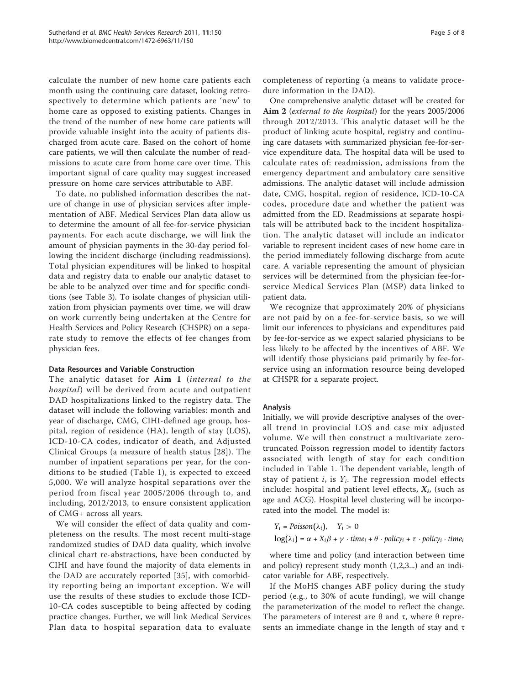calculate the number of new home care patients each month using the continuing care dataset, looking retrospectively to determine which patients are 'new' to home care as opposed to existing patients. Changes in the trend of the number of new home care patients will provide valuable insight into the acuity of patients discharged from acute care. Based on the cohort of home care patients, we will then calculate the number of readmissions to acute care from home care over time. This important signal of care quality may suggest increased pressure on home care services attributable to ABF.

To date, no published information describes the nature of change in use of physician services after implementation of ABF. Medical Services Plan data allow us to determine the amount of all fee-for-service physician payments. For each acute discharge, we will link the amount of physician payments in the 30-day period following the incident discharge (including readmissions). Total physician expenditures will be linked to hospital data and registry data to enable our analytic dataset to be able to be analyzed over time and for specific conditions (see Table [3](#page-3-0)). To isolate changes of physician utilization from physician payments over time, we will draw on work currently being undertaken at the Centre for Health Services and Policy Research (CHSPR) on a separate study to remove the effects of fee changes from physician fees.

## Data Resources and Variable Construction

The analytic dataset for Aim 1 (internal to the hospital) will be derived from acute and outpatient DAD hospitalizations linked to the registry data. The dataset will include the following variables: month and year of discharge, CMG, CIHI-defined age group, hospital, region of residence (HA), length of stay (LOS), ICD-10-CA codes, indicator of death, and Adjusted Clinical Groups (a measure of health status [[28](#page-7-0)]). The number of inpatient separations per year, for the conditions to be studied (Table [1\)](#page-2-0), is expected to exceed 5,000. We will analyze hospital separations over the period from fiscal year 2005/2006 through to, and including, 2012/2013, to ensure consistent application of CMG+ across all years.

We will consider the effect of data quality and completeness on the results. The most recent multi-stage randomized studies of DAD data quality, which involve clinical chart re-abstractions, have been conducted by CIHI and have found the majority of data elements in the DAD are accurately reported [[35\]](#page-7-0), with comorbidity reporting being an important exception. We will use the results of these studies to exclude those ICD-10-CA codes susceptible to being affected by coding practice changes. Further, we will link Medical Services Plan data to hospital separation data to evaluate completeness of reporting (a means to validate procedure information in the DAD).

One comprehensive analytic dataset will be created for Aim 2 (external to the hospital) for the years 2005/2006 through 2012/2013. This analytic dataset will be the product of linking acute hospital, registry and continuing care datasets with summarized physician fee-for-service expenditure data. The hospital data will be used to calculate rates of: readmission, admissions from the emergency department and ambulatory care sensitive admissions. The analytic dataset will include admission date, CMG, hospital, region of residence, ICD-10-CA codes, procedure date and whether the patient was admitted from the ED. Readmissions at separate hospitals will be attributed back to the incident hospitalization. The analytic dataset will include an indicator variable to represent incident cases of new home care in the period immediately following discharge from acute care. A variable representing the amount of physician services will be determined from the physician fee-forservice Medical Services Plan (MSP) data linked to patient data.

We recognize that approximately 20% of physicians are not paid by on a fee-for-service basis, so we will limit our inferences to physicians and expenditures paid by fee-for-service as we expect salaried physicians to be less likely to be affected by the incentives of ABF. We will identify those physicians paid primarily by fee-forservice using an information resource being developed at CHSPR for a separate project.

## Analysis

Initially, we will provide descriptive analyses of the overall trend in provincial LOS and case mix adjusted volume. We will then construct a multivariate zerotruncated Poisson regression model to identify factors associated with length of stay for each condition included in Table [1](#page-2-0). The dependent variable, length of stay of patient  $i$ , is  $Y_i$ . The regression model effects include: hospital and patient level effects,  $X_i$ , (such as age and ACG). Hospital level clustering will be incorporated into the model. The model is:

$$
Y_i = Poisson(\lambda_i), \quad Y_i > 0
$$
  

$$
log(\lambda_i) = \alpha + X_i\beta + \gamma \cdot time_i + \theta \cdot policy_i + \tau \cdot policy_i \cdot time_i
$$

where time and policy (and interaction between time and policy) represent study month (1,2,3...) and an indicator variable for ABF, respectively.

If the MoHS changes ABF policy during the study period (e.g., to 30% of acute funding), we will change the parameterization of the model to reflect the change. The parameters of interest are  $θ$  and τ, where  $θ$  represents an immediate change in the length of stay and  $\tau$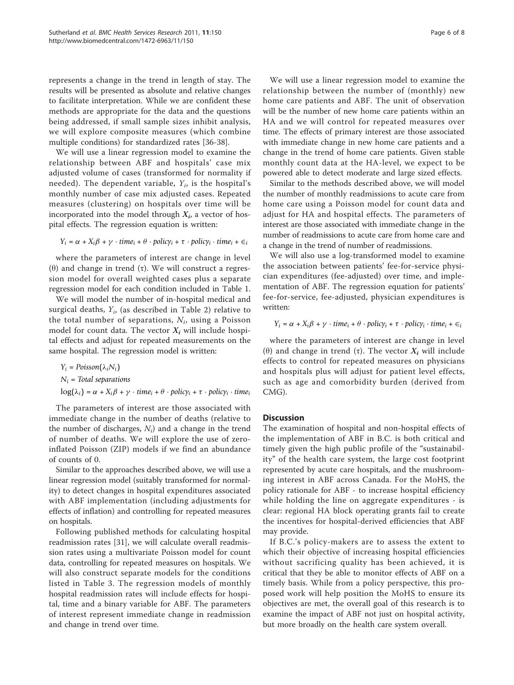represents a change in the trend in length of stay. The results will be presented as absolute and relative changes to facilitate interpretation. While we are confident these methods are appropriate for the data and the questions being addressed, if small sample sizes inhibit analysis, we will explore composite measures (which combine multiple conditions) for standardized rates [[36-38\]](#page-7-0).

We will use a linear regression model to examine the relationship between ABF and hospitals' case mix adjusted volume of cases (transformed for normality if needed). The dependent variable,  $Y_i$ , is the hospital's monthly number of case mix adjusted cases. Repeated measures (clustering) on hospitals over time will be incorporated into the model through  $X_i$ , a vector of hospital effects. The regression equation is written:

$$
Y_i = \alpha + X_i \beta + \gamma \cdot time_i + \theta \cdot policy_i + \tau \cdot policy_i \cdot time_i + \epsilon_i
$$

where the parameters of interest are change in level (θ) and change in trend (τ). We will construct a regression model for overall weighted cases plus a separate regression model for each condition included in Table [1](#page-2-0).

We will model the number of in-hospital medical and surgical deaths,  $Y_i$ , (as described in Table [2](#page-3-0)) relative to the total number of separations,  $N_i$ , using a Poisson model for count data. The vector  $X_i$  will include hospital effects and adjust for repeated measurements on the same hospital. The regression model is written:

 $Y_i = Poisson(\lambda_i N_i)$ *Ni* = *Total separations*  $log(\lambda_i) = \alpha + X_i\beta + \gamma \cdot time_i + \theta \cdot policy_i + \tau \cdot policy_i \cdot time_i$ 

The parameters of interest are those associated with immediate change in the number of deaths (relative to the number of discharges,  $N_i$ ) and a change in the trend of number of deaths. We will explore the use of zeroinflated Poisson (ZIP) models if we find an abundance of counts of 0.

Similar to the approaches described above, we will use a linear regression model (suitably transformed for normality) to detect changes in hospital expenditures associated with ABF implementation (including adjustments for effects of inflation) and controlling for repeated measures on hospitals.

Following published methods for calculating hospital readmission rates [[31\]](#page-7-0), we will calculate overall readmission rates using a multivariate Poisson model for count data, controlling for repeated measures on hospitals. We will also construct separate models for the conditions listed in Table [3.](#page-3-0) The regression models of monthly hospital readmission rates will include effects for hospital, time and a binary variable for ABF. The parameters of interest represent immediate change in readmission and change in trend over time.

We will use a linear regression model to examine the relationship between the number of (monthly) new home care patients and ABF. The unit of observation will be the number of new home care patients within an HA and we will control for repeated measures over time. The effects of primary interest are those associated with immediate change in new home care patients and a change in the trend of home care patients. Given stable monthly count data at the HA-level, we expect to be powered able to detect moderate and large sized effects.

Similar to the methods described above, we will model the number of monthly readmissions to acute care from home care using a Poisson model for count data and adjust for HA and hospital effects. The parameters of interest are those associated with immediate change in the number of readmissions to acute care from home care and a change in the trend of number of readmissions.

We will also use a log-transformed model to examine the association between patients' fee-for-service physician expenditures (fee-adjusted) over time, and implementation of ABF. The regression equation for patients' fee-for-service, fee-adjusted, physician expenditures is written:

$$
Y_i = \alpha + X_i \beta + \gamma \cdot time_i + \theta \cdot policy_i + \tau \cdot policy_i \cdot time_i + \epsilon_i
$$

where the parameters of interest are change in level (θ) and change in trend (τ). The vector  $X_i$  will include effects to control for repeated measures on physicians and hospitals plus will adjust for patient level effects, such as age and comorbidity burden (derived from CMG).

## **Discussion**

The examination of hospital and non-hospital effects of the implementation of ABF in B.C. is both critical and timely given the high public profile of the "sustainability" of the health care system, the large cost footprint represented by acute care hospitals, and the mushrooming interest in ABF across Canada. For the MoHS, the policy rationale for ABF - to increase hospital efficiency while holding the line on aggregate expenditures - is clear: regional HA block operating grants fail to create the incentives for hospital-derived efficiencies that ABF may provide.

If B.C.'s policy-makers are to assess the extent to which their objective of increasing hospital efficiencies without sacrificing quality has been achieved, it is critical that they be able to monitor effects of ABF on a timely basis. While from a policy perspective, this proposed work will help position the MoHS to ensure its objectives are met, the overall goal of this research is to examine the impact of ABF not just on hospital activity, but more broadly on the health care system overall.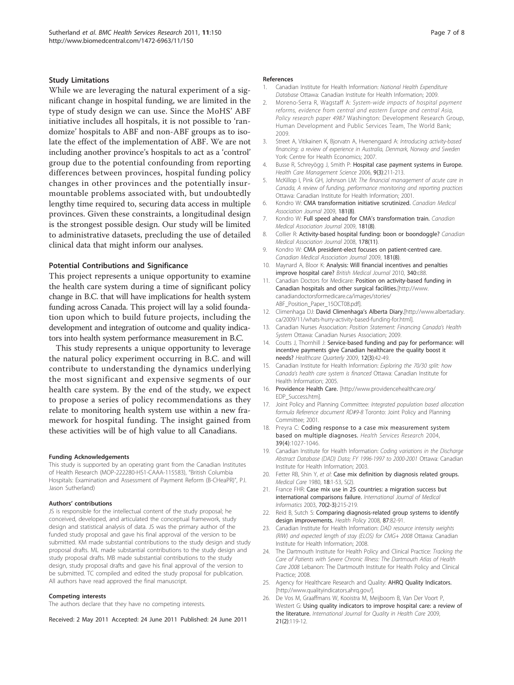#### <span id="page-6-0"></span>Study Limitations

While we are leveraging the natural experiment of a significant change in hospital funding, we are limited in the type of study design we can use. Since the MoHS' ABF initiative includes all hospitals, it is not possible to 'randomize' hospitals to ABF and non-ABF groups as to isolate the effect of the implementation of ABF. We are not including another province's hospitals to act as a 'control' group due to the potential confounding from reporting differences between provinces, hospital funding policy changes in other provinces and the potentially insurmountable problems associated with, but undoubtedly lengthy time required to, securing data access in multiple provinces. Given these constraints, a longitudinal design is the strongest possible design. Our study will be limited to administrative datasets, precluding the use of detailed clinical data that might inform our analyses.

# Potential Contributions and Significance

This project represents a unique opportunity to examine the health care system during a time of significant policy change in B.C. that will have implications for health system funding across Canada. This project will lay a solid foundation upon which to build future projects, including the development and integration of outcome and quality indicators into health system performance measurement in B.C.

This study represents a unique opportunity to leverage the natural policy experiment occurring in B.C. and will contribute to understanding the dynamics underlying the most significant and expensive segments of our health care system. By the end of the study, we expect to propose a series of policy recommendations as they relate to monitoring health system use within a new framework for hospital funding. The insight gained from these activities will be of high value to all Canadians.

#### Funding Acknowledgements

This study is supported by an operating grant from the Canadian Institutes of Health Research (MOP-222280-HS1-CAAA-115583), "British Columbia Hospitals: Examination and Assessment of Payment Reform (B-CHeaPR)", P.I. Jason Sutherland)

#### Authors' contributions

JS is responsible for the intellectual content of the study proposal; he conceived, developed, and articulated the conceptual framework, study design and statistical analysis of data. JS was the primary author of the funded study proposal and gave his final approval of the version to be submitted. KM made substantial contributions to the study design and study proposal drafts. ML made substantial contributions to the study design and study proposal drafts. MB made substantial contributions to the study design, study proposal drafts and gave his final approval of the version to be submitted. TC compiled and edited the study proposal for publication. All authors have read approved the final manuscript.

#### Competing interests

The authors declare that they have no competing interests.

#### Received: 2 May 2011 Accepted: 24 June 2011 Published: 24 June 2011

- References 1. Canadian Institute for Health Information: National Health Expenditure Database Ottawa: Canadian Institute for Health Information; 2009.
- 2. Moreno-Serra R, Wagstaff A: System-wide impacts of hospital payment reforms, evidence from central and eastern Europe and central Asia, Policy research paper 4987 Washington: Development Research Group, Human Development and Public Services Team, The World Bank; 2009.
- 3. Street A, Vitikainen K, Bjorvatn A, Hvenengaard A: Introducing activity-based financing: a review of experience in Australia, Denmark, Norway and Sweden York: Centre for Health Economics; 2007.
- 4. Busse R, Schreyögg J, Smith P: [Hospital case payment systems in Europe.](http://www.ncbi.nlm.nih.gov/pubmed/17016926?dopt=Abstract) Health Care Management Science 2006, 9(3):211-213.
- 5. McKillop I, Pink GH, Johnson LM: The financial management of acute care in Canada, A review of funding, performance monitoring and reporting practices Ottawa: Canadian Institute for Health Information; 2001.
- 6. Kondro W: CMA transformation initiative scrutinized. Canadian Medical Association Journal 2009, 181(8).
- 7. Kondro W: Full speed ahead for CMA's transformation train. Canadian Medical Association Journal 2009, 181(8).
- 8. Collier R: Activity-based hospital funding: boon or boondoggle? Canadian Medical Association Journal 2008, 178(11).
- 9. Kondro W: CMA president-elect focuses on patient-centred care. Canadian Medical Association Journal 2009, 181(8).
- 10. Maynard A, Bloor K: [Analysis: Will financial incentives and penalties](http://www.ncbi.nlm.nih.gov/pubmed/20093280?dopt=Abstract) [improve hospital care?](http://www.ncbi.nlm.nih.gov/pubmed/20093280?dopt=Abstract) British Medical Journal 2010, 340:c88.
- 11. Canadian Doctors for Medicare: Position on activity-based funding in Canadian hospitals and other surgical facilities.[\[http://www.](http://www.canadiandoctorsformedicare.ca/images/stories/ABF_Position_Paper_15OCT08.pdf) [canadiandoctorsformedicare.ca/images/stories/](http://www.canadiandoctorsformedicare.ca/images/stories/ABF_Position_Paper_15OCT08.pdf) [ABF\\_Position\\_Paper\\_15OCT08.pdf](http://www.canadiandoctorsformedicare.ca/images/stories/ABF_Position_Paper_15OCT08.pdf)].
- 12. Climenhaga DJ: David Climenhaga's Alberta Diary.[\[http://www.albertadiary.](http://www.albertadiary.ca/2009/11/whats-hurry-activity-based-funding-for.html) [ca/2009/11/whats-hurry-activity-based-funding-for.html](http://www.albertadiary.ca/2009/11/whats-hurry-activity-based-funding-for.html)].
- 13. Canadian Nurses Association: Position Statement: Financing Canada's Health System Ottawa: Canadian Nurses Association; 2009.
- 14. Coutts J, Thornhill J: [Service-based funding and pay for performance: will](http://www.ncbi.nlm.nih.gov/pubmed/19553761?dopt=Abstract) [incentive payments give Canadian healthcare the quality boost it](http://www.ncbi.nlm.nih.gov/pubmed/19553761?dopt=Abstract) [needs?](http://www.ncbi.nlm.nih.gov/pubmed/19553761?dopt=Abstract) Healthcare Quarterly 2009, 12(3):42-49.
- 15. Canadian Institute for Health Information: Exploring the 70/30 split: how Canada's health care system is financed Ottawa: Canadian Institute for Health Information; 2005.
- 16. Providence Health Care. [[http://www.providencehealthcare.org/](http://www.providencehealthcare.org/EDP_Success.htm) [EDP\\_Success.htm](http://www.providencehealthcare.org/EDP_Success.htm)].
- 17. Joint Policy and Planning Committee: Integrated population based allocation formula Reference document RD#9-8 Toronto: Joint Policy and Planning Committee; 2001.
- 18. Preyra C: [Coding response to a case mix measurement system](http://www.ncbi.nlm.nih.gov/pubmed/15230940?dopt=Abstract) [based on multiple diagnoses.](http://www.ncbi.nlm.nih.gov/pubmed/15230940?dopt=Abstract) Health Services Research 2004, 39(4):1027-1046.
- 19. Canadian Institute for Health Information: Coding variations in the Discharge Abstract Database (DAD) Data; FY 1996-1997 to 2000-2001 Ottawa: Canadian Institute for Health Information; 2003.
- 20. Fetter RB, Shin Y, et al: [Case mix definition by diagnosis related groups.](http://www.ncbi.nlm.nih.gov/pubmed/7412424?dopt=Abstract) Medical Care 1980, 18:1-53, S(2).
- 21. France FHR: [Case mix use in 25 countries: a migration success but](http://www.ncbi.nlm.nih.gov/pubmed/12909172?dopt=Abstract) [international comparisons failure.](http://www.ncbi.nlm.nih.gov/pubmed/12909172?dopt=Abstract) International Journal of Medical Informatics 2003, 70(2-3):215-219.
- 22. Reid B, Sutch S: [Comparing diagnosis-related group systems to identify](http://www.ncbi.nlm.nih.gov/pubmed/18276032?dopt=Abstract) [design improvements.](http://www.ncbi.nlm.nih.gov/pubmed/18276032?dopt=Abstract) Health Policy 2008, 87:82-91.
- 23. Canadian Institute for Health Information: DAD resource intensity weights (RIW) and expected length of stay (ELOS) for CMG+ 2008 Ottawa: Canadian Institute for Health Information; 2008.
- 24. The Dartmouth Institute for Health Policy and Clinical Practice: Tracking the Care of Patients with Severe Chronic Illness: The Dartmouth Atlas of Health Care 2008 Lebanon: The Dartmouth Institute for Health Policy and Clinical Practice; 2008.
- 25. Agency for Healthcare Research and Quality: AHRQ Quality Indicators. [[http://www.qualityindicators.ahrq.gov/\]](http://www.qualityindicators.ahrq.gov/).
- 26. De Vos M, Graaffmans W, Kooistra M, Meijboom B, Van Der Voort P, Westert G: [Using quality indicators to improve hospital care: a review of](http://www.ncbi.nlm.nih.gov/pubmed/19155288?dopt=Abstract) [the literature.](http://www.ncbi.nlm.nih.gov/pubmed/19155288?dopt=Abstract) International Journal for Quality in Health Care 2009, 21(2):119-12.